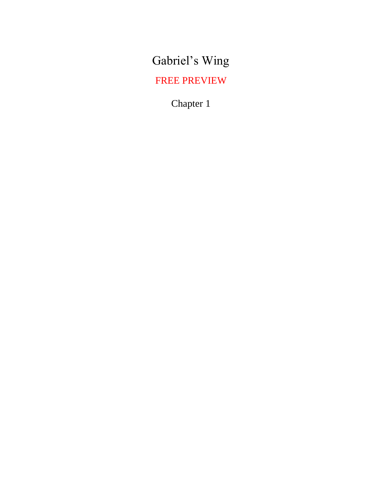Gabriel's Wing

FREE PREVIEW

Chapter 1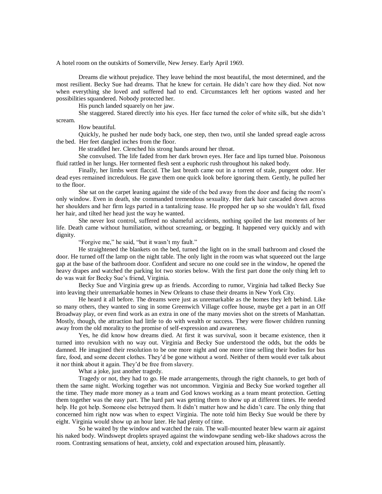A hotel room on the outskirts of Somerville, New Jersey. Early April 1969.

Dreams die without prejudice. They leave behind the most beautiful, the most determined, and the most resilient. Becky Sue had dreams. That he knew for certain. He didn't care how they died. Not now when everything she loved and suffered had to end. Circumstances left her options wasted and her possibilities squandered. Nobody protected her.

His punch landed squarely on her jaw.

She staggered. Stared directly into his eyes. Her face turned the color of white silk, but she didn't scream.

How beautiful.

Quickly, he pushed her nude body back, one step, then two, until she landed spread eagle across the bed. Her feet dangled inches from the floor.

He straddled her. Clenched his strong hands around her throat.

She convulsed. The life faded from her dark brown eyes. Her face and lips turned blue. Poisonous fluid rattled in her lungs. Her tormented flesh sent a euphoric rush throughout his naked body.

Finally, her limbs went flaccid. The last breath came out in a torrent of stale, pungent odor. Her dead eyes remained incredulous. He gave them one quick look before ignoring them. Gently, he pulled her to the floor.

She sat on the carpet leaning against the side of the bed away from the door and facing the room's only window. Even in death, she commanded tremendous sexuality. Her dark hair cascaded down across her shoulders and her firm legs parted in a tantalizing tease. He propped her up so she wouldn't fall, fixed her hair, and tilted her head just the way he wanted.

She never lost control, suffered no shameful accidents, nothing spoiled the last moments of her life. Death came without humiliation, without screaming, or begging. It happened very quickly and with dignity.

"Forgive me," he said, "but it wasn't my fault."

He straightened the blankets on the bed, turned the light on in the small bathroom and closed the door. He turned off the lamp on the night table. The only light in the room was what squeezed out the large gap at the base of the bathroom door. Confident and secure no one could see in the window, he opened the heavy drapes and watched the parking lot two stories below. With the first part done the only thing left to do was wait for Becky Sue's friend, Virginia.

Becky Sue and Virginia grew up as friends. According to rumor, Virginia had talked Becky Sue into leaving their unremarkable homes in New Orleans to chase their dreams in New York City.

He heard it all before. The dreams were just as unremarkable as the homes they left behind. Like so many others, they wanted to sing in some Greenwich Village coffee house, maybe get a part in an Off Broadway play, or even find work as an extra in one of the many movies shot on the streets of Manhattan. Mostly, though, the attraction had little to do with wealth or success. They were flower children running away from the old morality to the promise of self-expression and awareness.

Yes, he did know how dreams died. At first it was survival, soon it became existence, then it turned into revulsion with no way out. Virginia and Becky Sue understood the odds, but the odds be damned. He imagined their resolution to be one more night and one more time selling their bodies for bus fare, food, and some decent clothes. They'd be gone without a word. Neither of them would ever talk about it nor think about it again. They'd be free from slavery.

What a joke, just another tragedy.

Tragedy or not, they had to go. He made arrangements, through the right channels, to get both of them the same night. Working together was not uncommon. Virginia and Becky Sue worked together all the time. They made more money as a team and God knows working as a team meant protection. Getting them together was the easy part. The hard part was getting them to show up at different times. He needed help. He got help. Someone else betrayed them. It didn't matter how and he didn't care. The only thing that concerned him right now was when to expect Virginia. The note told him Becky Sue would be there by eight. Virginia would show up an hour later. He had plenty of time.

So he waited by the window and watched the rain. The wall-mounted heater blew warm air against his naked body. Windswept droplets sprayed against the windowpane sending web-like shadows across the room. Contrasting sensations of heat, anxiety, cold and expectation aroused him, pleasantly.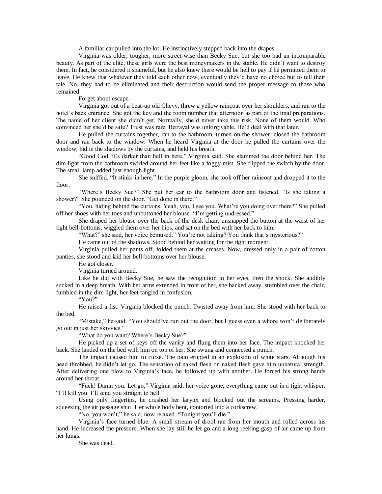A familiar car pulled into the lot. He instinctively stepped back into the drapes.

Virginia was older, tougher, more street-wise than Becky Sue, but she too had an incomparable beauty. As part of the elite, these girls were the best moneymakers in the stable. He didn't want to destroy them. In fact, he considered it shameful, but he also knew there would be hell to pay if he permitted them to leave. He knew that whatever they told each other now, eventually they'd have no choice but to tell their tale. No, they had to be eliminated and their destruction would send the proper message to those who remained.

Forget about escape.

Virginia got out of a beat-up old Chevy, threw a yellow raincoat over her shoulders, and ran to the hotel's back entrance. She got the key and the room number that afternoon as part of the final preparations. The name of her client she didn't get. Normally, she'd never take this risk. None of them would. Who convinced her she'd be safe? Trust was rare. Betrayal was unforgivable. He'd deal with that later.

He pulled the curtains together, ran to the bathroom, turned on the shower, closed the bathroom door and ran back to the window. When he heard Virginia at the door he pulled the curtains over the window, hid in the shadows by the curtains, and held his breath.

"Good God, it's darker than hell in here," Virginia said. She slammed the door behind her. The dim light from the bathroom swirled around her feet like a foggy mist. She flipped the switch by the door. The small lamp added just enough light.

She sniffed, "It stinks in here." In the purple gloom, she took off her raincoat and dropped it to the floor.

"Where's Becky Sue?" She put her ear to the bathroom door and listened. "Is she taking a shower?" She pounded on the door. "Get done in there."

"You, hiding behind the curtains. Yeah, you, I see you. What're you doing over there?" She pulled off her shoes with her toes and unbuttoned her blouse. "I'm getting undressed."

She draped her blouse over the back of the desk chair, unsnapped the button at the waist of her tight bell-bottoms, wiggled them over her hips, and sat on the bed with her back to him.

"What?" she said, her voice bemused." You're not talking? You think that's mysterious?"

He came out of the shadows. Stood behind her waiting for the right moment.

Virginia pulled her pants off, folded them at the creases. Now, dressed only in a pair of cotton panties, she stood and laid her bell-bottoms over her blouse.

He got closer.

Virginia turned around.

Like he did with Becky Sue, he saw the recognition in her eyes, then the shock. She audibly sucked in a deep breath. With her arms extended in front of her, she backed away, stumbled over the chair, fumbled in the dim light, her feet tangled in confusion.

"You?"

He raised a fist. Virginia blocked the punch. Twisted away from him. She stood with her back to the bed.

"Mistake," he said. "You should've run out the door, but I guess even a whore won't deliberately go out in just her skivvies."

"What do you want? Where's Becky Sue?"

He picked up a set of keys off the vanity and flung them into her face. The impact knocked her back. She landed on the bed with him on top of her. She swung and connected a punch.

The impact caused him to curse. The pain erupted in an explosion of white stars. Although his head throbbed, he didn't let go. The sensation of naked flesh on naked flesh gave him unnatural strength. After delivering one blow to Virginia's face, he followed up with another. He forced his strong hands around her throat.

"Fuck! Damn you. Let go," Virginia said, her voice gone, everything came out in a tight whisper. "I'll kill you. I'll send you straight to hell."

Using only fingertips, he crushed her larynx and blocked out the screams. Pressing harder, squeezing the air passage shut. Her whole body bent, contorted into a corkscrew.

"No, you won't," he said, now relaxed. "Tonight you'll die."

Virginia's face turned blue. A small stream of drool ran from her mouth and rolled across his hand. He increased the pressure. When she lay still he let go and a long reeking gasp of air came up from her lungs.

She was dead.